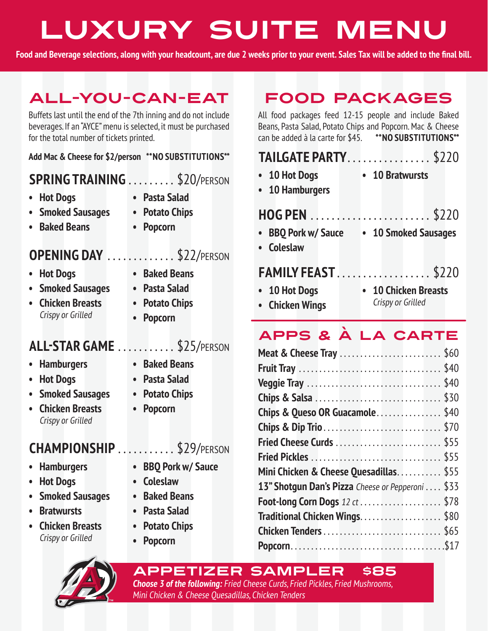# Luxury Suite Menu

**Food and Beverage selections, along with your headcount, are due 2 weeks prior to your event. Sales Tax will be added to the final bill.**

## ALL-YOU-CAN-EAT

Buffets last until the end of the 7th inning and do not include beverages. If an "AYCE" menu is selected, it must be purchased for the total number of tickets printed.

**Add Mac & Cheese for \$2/person \*\*NO SUBSTITUTIONS\*\***

### **SPRING TRAINING**.........\$20/PERSON

- **• Hot Dogs**
- **• Pasta Salad**

**• Potato Chips**

- **• Smoked Sausages**
- **• Popcorn**

### **OPENING DAY** .............\$22/PERSON

**• Baked Beans**

- **• Hot Dogs**
- **• Smoked Sausages**
- **• Chicken Breasts** Crispy or Grilled
- **• Pasta Salad • Potato Chips**

**• Baked Beans**

**• Popcorn**

**• Baked Beans • Pasta Salad • Potato Chips**

**• Popcorn**

### **ALL-STAR GAME**............\$25/PERSON

- **• Hamburgers**
- **• Hot Dogs**
- **• Smoked Sausages**
- **• Chicken Breasts** Crispy or Grilled

### **CHAMPIONSHIP** . . . . . . . . . . \$29/PERSON

- **• Hamburgers**
- **• Hot Dogs**
- **• Smoked Sausages**
- **• Bratwursts**
- **• Chicken Breasts** Crispy or Grilled
- 
- **• BBQ Pork w/ Sauce**
- **• Coleslaw**
- **• Baked Beans**
- **• Pasta Salad**
- **• Potato Chips**
- **• Popcorn**

APPETIZER SAMPLER \$85 **Choose 3 of the following:** Fried Cheese Curds, Fried Pickles, Fried Mushrooms, Mini Chicken & Cheese Quesadillas, Chicken Tenders

# FOOD PACKAGES

All food packages feed 12-15 people and include Baked Beans, Pasta Salad, Potato Chips and Popcorn. Mac & Cheese can be added à la carte for \$45. **\*\*NO SUBSTITUTIONS\*\***

### **TAILGATE PARTY.................. \$220 • 10 Hot Dogs • 10 Hamburgers • 10 Bratwursts HOG PEN**.........................\$220 **• BBQ Pork w/ Sauce • 10 Smoked Sausages • Coleslaw**

### **FAMILY FEAST**. . \$220

**• 10 Hot Dogs**

**• Chicken Wings**

**• 10 Chicken Breasts** Crispy or Grilled

### APPS & À LA CARTE

| <b>Meat &amp; Cheese Tray</b> \$60                |      |
|---------------------------------------------------|------|
|                                                   |      |
|                                                   |      |
|                                                   |      |
| Chips & Queso OR Guacamole                        | \$40 |
|                                                   |      |
|                                                   |      |
|                                                   |      |
| Mini Chicken & Cheese Quesadillas\$55             |      |
| 13" Shotgun Dan's Pizza Cheese or Pepperoni  \$33 |      |
| <b>Foot-long Corn Dogs</b> 12 ct \$78             |      |
| Traditional Chicken Wings\$80                     |      |
|                                                   |      |
|                                                   |      |